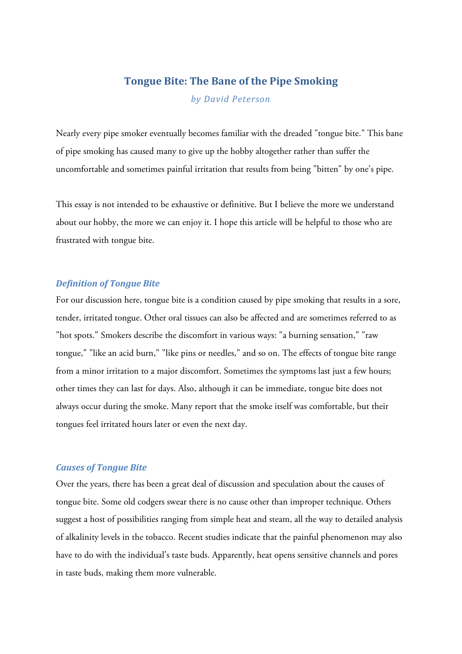# **Tongue Bite: The Bane of the Pipe Smoking**

*by David Peterson*

Nearly every pipe smoker eventually becomes familiar with the dreaded "tongue bite." This bane of pipe smoking has caused many to give up the hobby altogether rather than suffer the uncomfortable and sometimes painful irritation that results from being "bitten" by one's pipe.

This essay is not intended to be exhaustive or definitive. But I believe the more we understand about our hobby, the more we can enjoy it. I hope this article will be helpful to those who are frustrated with tongue bite.

### *Definition of Tongue Bite*

For our discussion here, tongue bite is a condition caused by pipe smoking that results in a sore, tender, irritated tongue. Other oral tissues can also be affected and are sometimes referred to as "hot spots." Smokers describe the discomfort in various ways: "a burning sensation," "raw tongue," "like an acid burn," "like pins or needles," and so on. The effects of tongue bite range from a minor irritation to a major discomfort. Sometimes the symptoms last just a few hours; other times they can last for days. Also, although it can be immediate, tongue bite does not always occur during the smoke. Many report that the smoke itself was comfortable, but their tongues feel irritated hours later or even the next day.

## *Causes of Tongue Bite*

Over the years, there has been a great deal of discussion and speculation about the causes of tongue bite. Some old codgers swear there is no cause other than improper technique. Others suggest a host of possibilities ranging from simple heat and steam, all the way to detailed analysis of alkalinity levels in the tobacco. Recent studies indicate that the painful phenomenon may also have to do with the individual's taste buds. Apparently, heat opens sensitive channels and pores in taste buds, making them more vulnerable.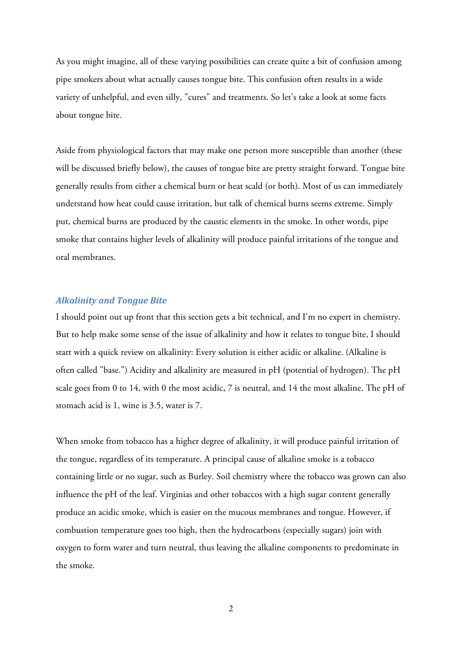As you might imagine, all of these varying possibilities can create quite a bit of confusion among pipe smokers about what actually causes tongue bite. This confusion often results in a wide variety of unhelpful, and even silly, "cures" and treatments. So let's take a look at some facts about tongue bite.

Aside from physiological factors that may make one person more susceptible than another (these will be discussed briefly below), the causes of tongue bite are pretty straight forward. Tongue bite generally results from either a chemical burn or heat scald (or both). Most of us can immediately understand how heat could cause irritation, but talk of chemical burns seems extreme. Simply put, chemical burns are produced by the caustic elements in the smoke. In other words, pipe smoke that contains higher levels of alkalinity will produce painful irritations of the tongue and oral membranes.

#### *Alkalinity and Tongue Bite*

I should point out up front that this section gets a bit technical, and I'm no expert in chemistry. But to help make some sense of the issue of alkalinity and how it relates to tongue bite, I should start with a quick review on alkalinity: Every solution is either acidic or alkaline. (Alkaline is often called "base.") Acidity and alkalinity are measured in pH (potential of hydrogen). The pH scale goes from 0 to 14, with 0 the most acidic, 7 is neutral, and 14 the most alkaline. The pH of stomach acid is 1, wine is 3.5, water is 7.

When smoke from tobacco has a higher degree of alkalinity, it will produce painful irritation of the tongue, regardless of its temperature. A principal cause of alkaline smoke is a tobacco containing little or no sugar, such as Burley. Soil chemistry where the tobacco was grown can also influence the pH of the leaf. Virginias and other tobaccos with a high sugar content generally produce an acidic smoke, which is easier on the mucous membranes and tongue. However, if combustion temperature goes too high, then the hydrocarbons (especially sugars) join with oxygen to form water and turn neutral, thus leaving the alkaline components to predominate in the smoke.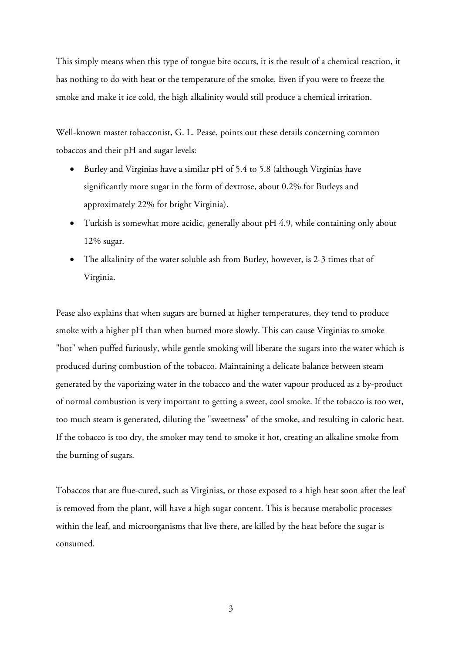This simply means when this type of tongue bite occurs, it is the result of a chemical reaction, it has nothing to do with heat or the temperature of the smoke. Even if you were to freeze the smoke and make it ice cold, the high alkalinity would still produce a chemical irritation.

Well-known master tobacconist, G. L. Pease, points out these details concerning common tobaccos and their pH and sugar levels:

- Burley and Virginias have a similar pH of 5.4 to 5.8 (although Virginias have significantly more sugar in the form of dextrose, about 0.2% for Burleys and approximately 22% for bright Virginia).
- Turkish is somewhat more acidic, generally about pH 4.9, while containing only about 12% sugar.
- The alkalinity of the water soluble ash from Burley, however, is 2-3 times that of Virginia.

Pease also explains that when sugars are burned at higher temperatures, they tend to produce smoke with a higher pH than when burned more slowly. This can cause Virginias to smoke "hot" when puffed furiously, while gentle smoking will liberate the sugars into the water which is produced during combustion of the tobacco. Maintaining a delicate balance between steam generated by the vaporizing water in the tobacco and the water vapour produced as a by-product of normal combustion is very important to getting a sweet, cool smoke. If the tobacco is too wet, too much steam is generated, diluting the "sweetness" of the smoke, and resulting in caloric heat. If the tobacco is too dry, the smoker may tend to smoke it hot, creating an alkaline smoke from the burning of sugars.

Tobaccos that are flue-cured, such as Virginias, or those exposed to a high heat soon after the leaf is removed from the plant, will have a high sugar content. This is because metabolic processes within the leaf, and microorganisms that live there, are killed by the heat before the sugar is consumed.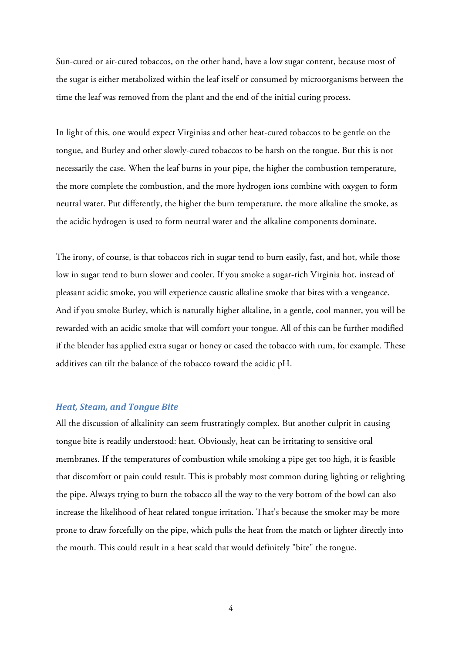Sun-cured or air-cured tobaccos, on the other hand, have a low sugar content, because most of the sugar is either metabolized within the leaf itself or consumed by microorganisms between the time the leaf was removed from the plant and the end of the initial curing process.

In light of this, one would expect Virginias and other heat-cured tobaccos to be gentle on the tongue, and Burley and other slowly-cured tobaccos to be harsh on the tongue. But this is not necessarily the case. When the leaf burns in your pipe, the higher the combustion temperature, the more complete the combustion, and the more hydrogen ions combine with oxygen to form neutral water. Put differently, the higher the burn temperature, the more alkaline the smoke, as the acidic hydrogen is used to form neutral water and the alkaline components dominate.

The irony, of course, is that tobaccos rich in sugar tend to burn easily, fast, and hot, while those low in sugar tend to burn slower and cooler. If you smoke a sugar-rich Virginia hot, instead of pleasant acidic smoke, you will experience caustic alkaline smoke that bites with a vengeance. And if you smoke Burley, which is naturally higher alkaline, in a gentle, cool manner, you will be rewarded with an acidic smoke that will comfort your tongue. All of this can be further modified if the blender has applied extra sugar or honey or cased the tobacco with rum, for example. These additives can tilt the balance of the tobacco toward the acidic pH.

#### *Heat, Steam, and Tongue Bite*

All the discussion of alkalinity can seem frustratingly complex. But another culprit in causing tongue bite is readily understood: heat. Obviously, heat can be irritating to sensitive oral membranes. If the temperatures of combustion while smoking a pipe get too high, it is feasible that discomfort or pain could result. This is probably most common during lighting or relighting the pipe. Always trying to burn the tobacco all the way to the very bottom of the bowl can also increase the likelihood of heat related tongue irritation. That's because the smoker may be more prone to draw forcefully on the pipe, which pulls the heat from the match or lighter directly into the mouth. This could result in a heat scald that would definitely "bite" the tongue.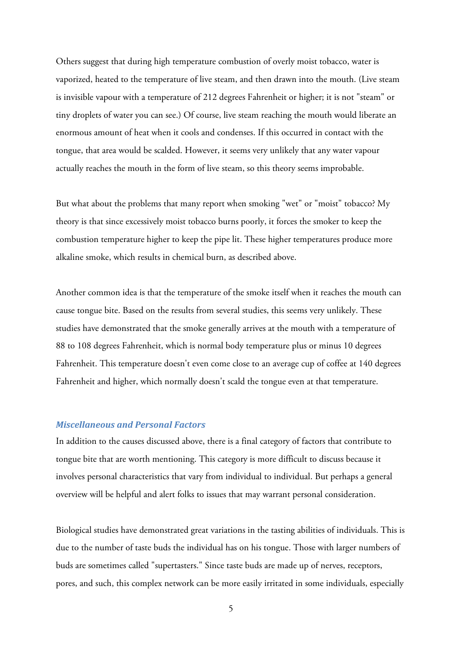Others suggest that during high temperature combustion of overly moist tobacco, water is vaporized, heated to the temperature of live steam, and then drawn into the mouth. (Live steam is invisible vapour with a temperature of 212 degrees Fahrenheit or higher; it is not "steam" or tiny droplets of water you can see.) Of course, live steam reaching the mouth would liberate an enormous amount of heat when it cools and condenses. If this occurred in contact with the tongue, that area would be scalded. However, it seems very unlikely that any water vapour actually reaches the mouth in the form of live steam, so this theory seems improbable.

But what about the problems that many report when smoking "wet" or "moist" tobacco? My theory is that since excessively moist tobacco burns poorly, it forces the smoker to keep the combustion temperature higher to keep the pipe lit. These higher temperatures produce more alkaline smoke, which results in chemical burn, as described above.

Another common idea is that the temperature of the smoke itself when it reaches the mouth can cause tongue bite. Based on the results from several studies, this seems very unlikely. These studies have demonstrated that the smoke generally arrives at the mouth with a temperature of 88 to 108 degrees Fahrenheit, which is normal body temperature plus or minus 10 degrees Fahrenheit. This temperature doesn't even come close to an average cup of coffee at 140 degrees Fahrenheit and higher, which normally doesn't scald the tongue even at that temperature.

## *Miscellaneous and Personal Factors*

In addition to the causes discussed above, there is a final category of factors that contribute to tongue bite that are worth mentioning. This category is more difficult to discuss because it involves personal characteristics that vary from individual to individual. But perhaps a general overview will be helpful and alert folks to issues that may warrant personal consideration.

Biological studies have demonstrated great variations in the tasting abilities of individuals. This is due to the number of taste buds the individual has on his tongue. Those with larger numbers of buds are sometimes called "supertasters." Since taste buds are made up of nerves, receptors, pores, and such, this complex network can be more easily irritated in some individuals, especially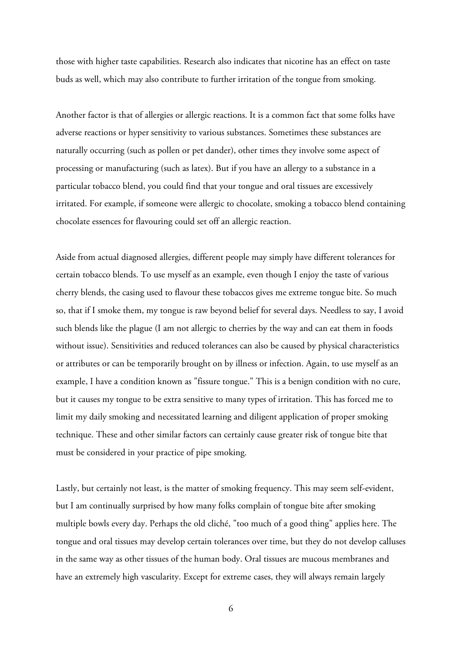those with higher taste capabilities. Research also indicates that nicotine has an effect on taste buds as well, which may also contribute to further irritation of the tongue from smoking.

Another factor is that of allergies or allergic reactions. It is a common fact that some folks have adverse reactions or hyper sensitivity to various substances. Sometimes these substances are naturally occurring (such as pollen or pet dander), other times they involve some aspect of processing or manufacturing (such as latex). But if you have an allergy to a substance in a particular tobacco blend, you could find that your tongue and oral tissues are excessively irritated. For example, if someone were allergic to chocolate, smoking a tobacco blend containing chocolate essences for flavouring could set off an allergic reaction.

Aside from actual diagnosed allergies, different people may simply have different tolerances for certain tobacco blends. To use myself as an example, even though I enjoy the taste of various cherry blends, the casing used to flavour these tobaccos gives me extreme tongue bite. So much so, that if I smoke them, my tongue is raw beyond belief for several days. Needless to say, I avoid such blends like the plague (I am not allergic to cherries by the way and can eat them in foods without issue). Sensitivities and reduced tolerances can also be caused by physical characteristics or attributes or can be temporarily brought on by illness or infection. Again, to use myself as an example, I have a condition known as "fissure tongue." This is a benign condition with no cure, but it causes my tongue to be extra sensitive to many types of irritation. This has forced me to limit my daily smoking and necessitated learning and diligent application of proper smoking technique. These and other similar factors can certainly cause greater risk of tongue bite that must be considered in your practice of pipe smoking.

Lastly, but certainly not least, is the matter of smoking frequency. This may seem self-evident, but I am continually surprised by how many folks complain of tongue bite after smoking multiple bowls every day. Perhaps the old cliché, "too much of a good thing" applies here. The tongue and oral tissues may develop certain tolerances over time, but they do not develop calluses in the same way as other tissues of the human body. Oral tissues are mucous membranes and have an extremely high vascularity. Except for extreme cases, they will always remain largely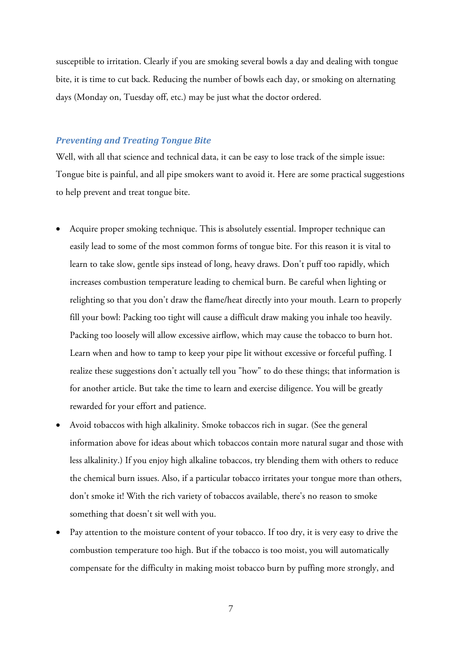susceptible to irritation. Clearly if you are smoking several bowls a day and dealing with tongue bite, it is time to cut back. Reducing the number of bowls each day, or smoking on alternating days (Monday on, Tuesday off, etc.) may be just what the doctor ordered.

## *Preventing and Treating Tongue Bite*

Well, with all that science and technical data, it can be easy to lose track of the simple issue: Tongue bite is painful, and all pipe smokers want to avoid it. Here are some practical suggestions to help prevent and treat tongue bite.

- Acquire proper smoking technique. This is absolutely essential. Improper technique can easily lead to some of the most common forms of tongue bite. For this reason it is vital to learn to take slow, gentle sips instead of long, heavy draws. Don't puff too rapidly, which increases combustion temperature leading to chemical burn. Be careful when lighting or relighting so that you don't draw the flame/heat directly into your mouth. Learn to properly fill your bowl: Packing too tight will cause a difficult draw making you inhale too heavily. Packing too loosely will allow excessive airflow, which may cause the tobacco to burn hot. Learn when and how to tamp to keep your pipe lit without excessive or forceful puffing. I realize these suggestions don't actually tell you "how" to do these things; that information is for another article. But take the time to learn and exercise diligence. You will be greatly rewarded for your effort and patience.
- Avoid tobaccos with high alkalinity. Smoke tobaccos rich in sugar. (See the general information above for ideas about which tobaccos contain more natural sugar and those with less alkalinity.) If you enjoy high alkaline tobaccos, try blending them with others to reduce the chemical burn issues. Also, if a particular tobacco irritates your tongue more than others, don't smoke it! With the rich variety of tobaccos available, there's no reason to smoke something that doesn't sit well with you.
- Pay attention to the moisture content of your tobacco. If too dry, it is very easy to drive the combustion temperature too high. But if the tobacco is too moist, you will automatically compensate for the difficulty in making moist tobacco burn by puffing more strongly, and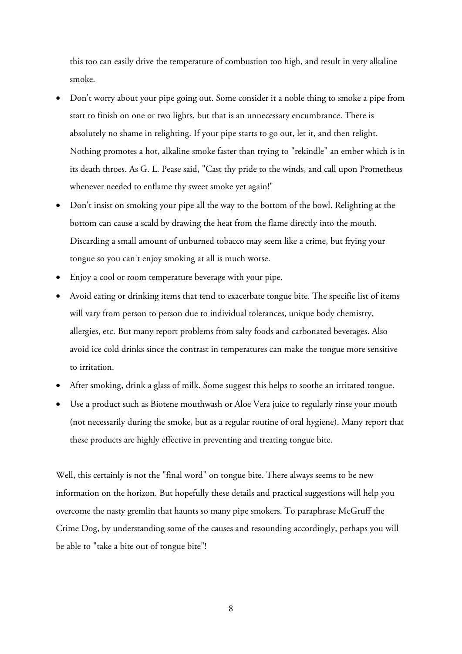this too can easily drive the temperature of combustion too high, and result in very alkaline smoke.

- Don't worry about your pipe going out. Some consider it a noble thing to smoke a pipe from start to finish on one or two lights, but that is an unnecessary encumbrance. There is absolutely no shame in relighting. If your pipe starts to go out, let it, and then relight. Nothing promotes a hot, alkaline smoke faster than trying to "rekindle" an ember which is in its death throes. As G. L. Pease said, "Cast thy pride to the winds, and call upon Prometheus whenever needed to enflame thy sweet smoke yet again!"
- Don't insist on smoking your pipe all the way to the bottom of the bowl. Relighting at the bottom can cause a scald by drawing the heat from the flame directly into the mouth. Discarding a small amount of unburned tobacco may seem like a crime, but frying your tongue so you can't enjoy smoking at all is much worse.
- Enjoy a cool or room temperature beverage with your pipe.
- Avoid eating or drinking items that tend to exacerbate tongue bite. The specific list of items will vary from person to person due to individual tolerances, unique body chemistry, allergies, etc. But many report problems from salty foods and carbonated beverages. Also avoid ice cold drinks since the contrast in temperatures can make the tongue more sensitive to irritation.
- After smoking, drink a glass of milk. Some suggest this helps to soothe an irritated tongue.
- Use a product such as Biotene mouthwash or Aloe Vera juice to regularly rinse your mouth (not necessarily during the smoke, but as a regular routine of oral hygiene). Many report that these products are highly effective in preventing and treating tongue bite.

Well, this certainly is not the "final word" on tongue bite. There always seems to be new information on the horizon. But hopefully these details and practical suggestions will help you overcome the nasty gremlin that haunts so many pipe smokers. To paraphrase McGruff the Crime Dog, by understanding some of the causes and resounding accordingly, perhaps you will be able to "take a bite out of tongue bite"!